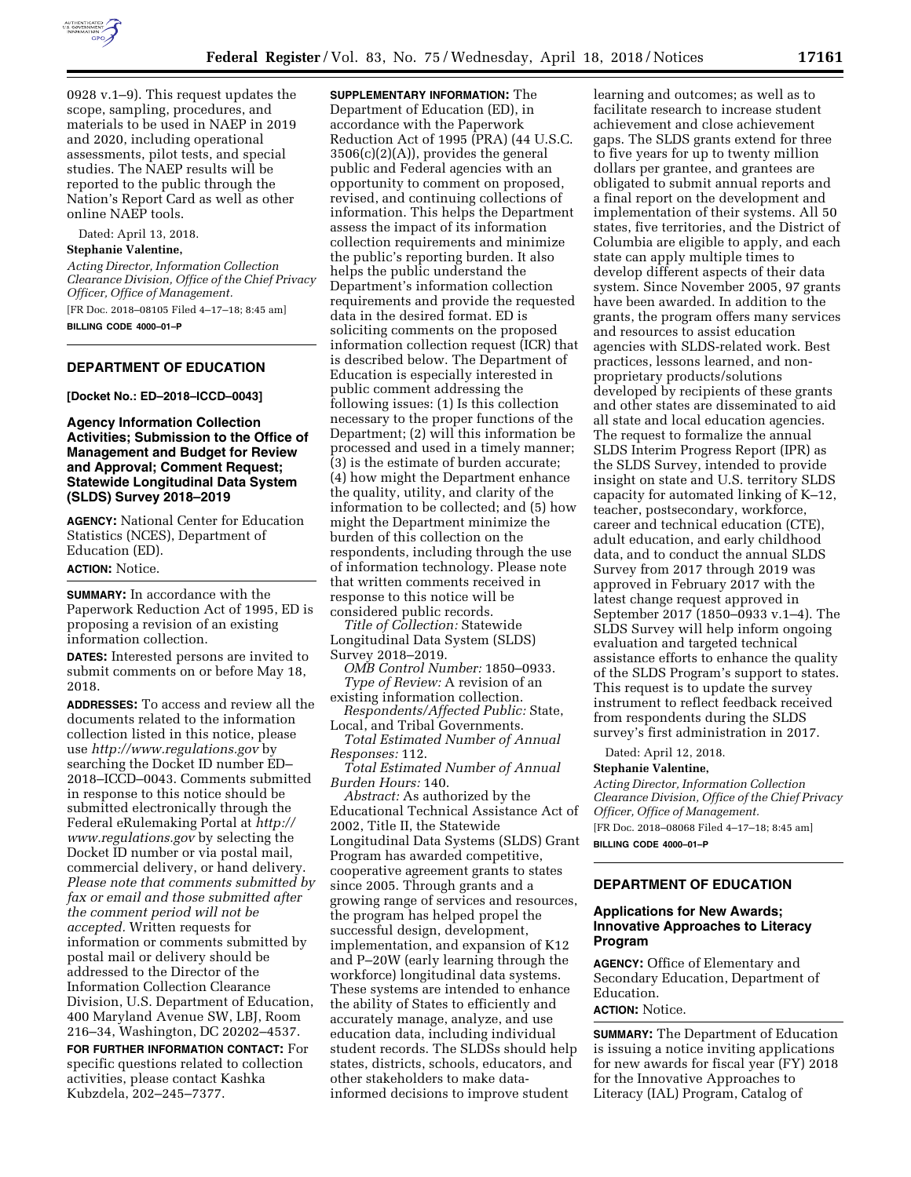

0928 v.1–9). This request updates the scope, sampling, procedures, and materials to be used in NAEP in 2019 and 2020, including operational assessments, pilot tests, and special studies. The NAEP results will be reported to the public through the

Dated: April 13, 2018.

### **Stephanie Valentine,**

online NAEP tools.

*Acting Director, Information Collection Clearance Division, Office of the Chief Privacy Officer, Office of Management.*  [FR Doc. 2018–08105 Filed 4–17–18; 8:45 am]

Nation's Report Card as well as other

**BILLING CODE 4000–01–P** 

## **DEPARTMENT OF EDUCATION**

**[Docket No.: ED–2018–ICCD–0043]** 

## **Agency Information Collection Activities; Submission to the Office of Management and Budget for Review and Approval; Comment Request; Statewide Longitudinal Data System (SLDS) Survey 2018–2019**

**AGENCY:** National Center for Education Statistics (NCES), Department of Education (ED).

# **ACTION:** Notice.

**SUMMARY:** In accordance with the Paperwork Reduction Act of 1995, ED is proposing a revision of an existing information collection.

**DATES:** Interested persons are invited to submit comments on or before May 18, 2018.

**ADDRESSES:** To access and review all the documents related to the information collection listed in this notice, please use *<http://www.regulations.gov>*by searching the Docket ID number ED– 2018–ICCD–0043. Comments submitted in response to this notice should be submitted electronically through the Federal eRulemaking Portal at *[http://](http://www.regulations.gov) [www.regulations.gov](http://www.regulations.gov)* by selecting the Docket ID number or via postal mail, commercial delivery, or hand delivery. *Please note that comments submitted by fax or email and those submitted after the comment period will not be accepted.* Written requests for information or comments submitted by postal mail or delivery should be addressed to the Director of the Information Collection Clearance Division, U.S. Department of Education, 400 Maryland Avenue SW, LBJ, Room 216–34, Washington, DC 20202–4537.

**FOR FURTHER INFORMATION CONTACT:** For specific questions related to collection activities, please contact Kashka Kubzdela, 202–245–7377.

**SUPPLEMENTARY INFORMATION:** The Department of Education (ED), in accordance with the Paperwork Reduction Act of 1995 (PRA) (44 U.S.C. 3506(c)(2)(A)), provides the general public and Federal agencies with an opportunity to comment on proposed, revised, and continuing collections of information. This helps the Department assess the impact of its information collection requirements and minimize the public's reporting burden. It also helps the public understand the Department's information collection requirements and provide the requested data in the desired format. ED is soliciting comments on the proposed information collection request (ICR) that is described below. The Department of Education is especially interested in public comment addressing the following issues: (1) Is this collection necessary to the proper functions of the Department; (2) will this information be processed and used in a timely manner; (3) is the estimate of burden accurate; (4) how might the Department enhance the quality, utility, and clarity of the information to be collected; and (5) how might the Department minimize the burden of this collection on the respondents, including through the use of information technology. Please note that written comments received in response to this notice will be considered public records.

*Title of Collection:* Statewide Longitudinal Data System (SLDS) Survey 2018–2019.

*OMB Control Number:* 1850–0933. *Type of Review:* A revision of an existing information collection.

*Respondents/Affected Public:* State, Local, and Tribal Governments.

*Total Estimated Number of Annual Responses:* 112.

*Total Estimated Number of Annual Burden Hours:* 140.

*Abstract:* As authorized by the Educational Technical Assistance Act of 2002, Title II, the Statewide Longitudinal Data Systems (SLDS) Grant Program has awarded competitive, cooperative agreement grants to states since 2005. Through grants and a growing range of services and resources, the program has helped propel the successful design, development, implementation, and expansion of K12 and P–20W (early learning through the workforce) longitudinal data systems. These systems are intended to enhance the ability of States to efficiently and accurately manage, analyze, and use education data, including individual student records. The SLDSs should help states, districts, schools, educators, and other stakeholders to make datainformed decisions to improve student

learning and outcomes; as well as to facilitate research to increase student achievement and close achievement gaps. The SLDS grants extend for three to five years for up to twenty million dollars per grantee, and grantees are obligated to submit annual reports and a final report on the development and implementation of their systems. All 50 states, five territories, and the District of Columbia are eligible to apply, and each state can apply multiple times to develop different aspects of their data system. Since November 2005, 97 grants have been awarded. In addition to the grants, the program offers many services and resources to assist education agencies with SLDS-related work. Best practices, lessons learned, and nonproprietary products/solutions developed by recipients of these grants and other states are disseminated to aid all state and local education agencies. The request to formalize the annual SLDS Interim Progress Report (IPR) as the SLDS Survey, intended to provide insight on state and U.S. territory SLDS capacity for automated linking of K–12, teacher, postsecondary, workforce, career and technical education (CTE), adult education, and early childhood data, and to conduct the annual SLDS Survey from 2017 through 2019 was approved in February 2017 with the latest change request approved in September 2017 (1850–0933 v.1–4). The SLDS Survey will help inform ongoing evaluation and targeted technical assistance efforts to enhance the quality of the SLDS Program's support to states. This request is to update the survey instrument to reflect feedback received from respondents during the SLDS survey's first administration in 2017.

Dated: April 12, 2018.

### **Stephanie Valentine,**

*Acting Director, Information Collection Clearance Division, Office of the Chief Privacy Officer, Office of Management.* 

[FR Doc. 2018–08068 Filed 4–17–18; 8:45 am] **BILLING CODE 4000–01–P** 

## **DEPARTMENT OF EDUCATION**

### **Applications for New Awards; Innovative Approaches to Literacy Program**

**AGENCY:** Office of Elementary and Secondary Education, Department of Education.

# **ACTION:** Notice.

**SUMMARY:** The Department of Education is issuing a notice inviting applications for new awards for fiscal year (FY) 2018 for the Innovative Approaches to Literacy (IAL) Program, Catalog of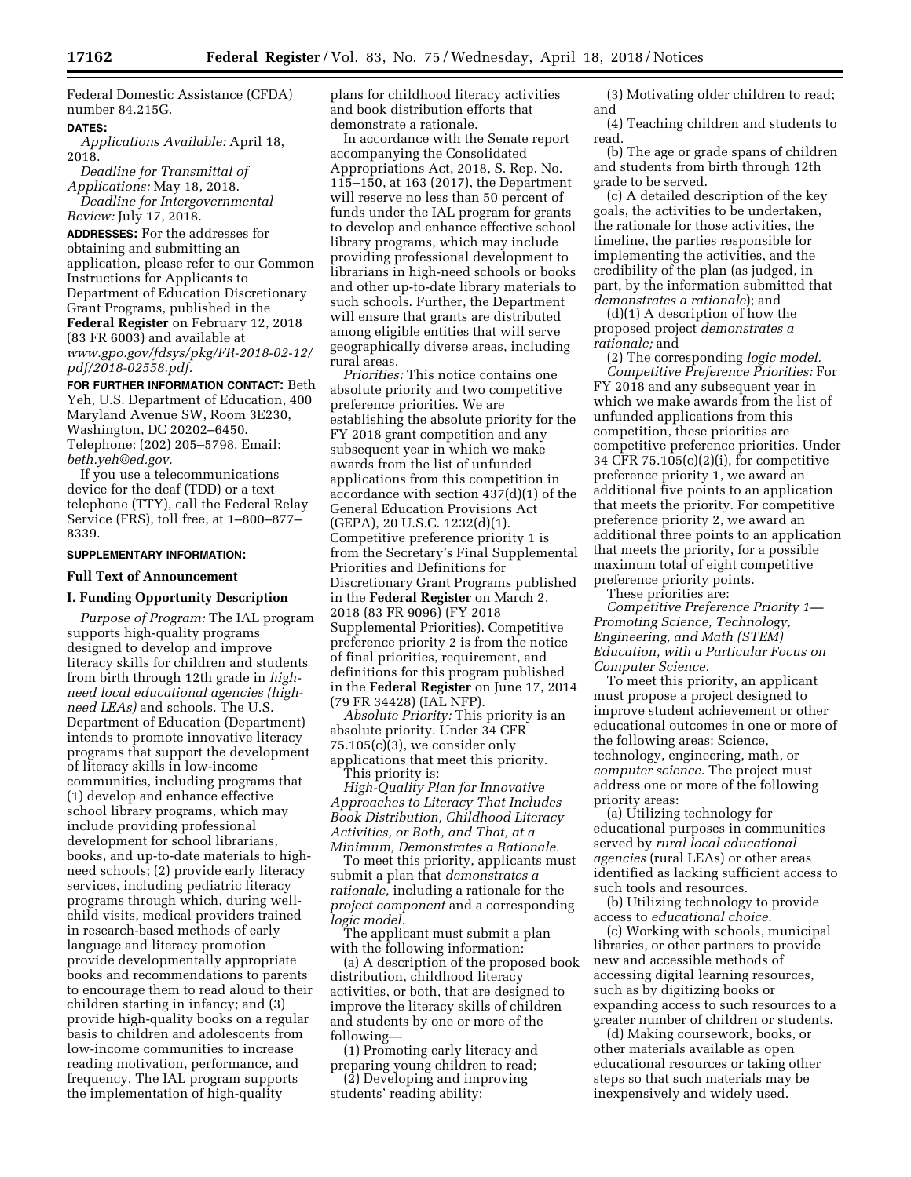Federal Domestic Assistance (CFDA) number 84.215G.

## **DATES:**

*Applications Available:* April 18, 2018.

*Deadline for Transmittal of Applications:* May 18, 2018. *Deadline for Intergovernmental* 

*Review:* July 17, 2018. **ADDRESSES:** For the addresses for

obtaining and submitting an application, please refer to our Common Instructions for Applicants to Department of Education Discretionary Grant Programs, published in the **Federal Register** on February 12, 2018 (83 FR 6003) and available at *[www.gpo.gov/fdsys/pkg/FR-2018-02-12/](http://www.gpo.gov/fdsys/pkg/FR-2018-02-12/pdf/2018-02558.pdf) [pdf/2018-02558.pdf.](http://www.gpo.gov/fdsys/pkg/FR-2018-02-12/pdf/2018-02558.pdf)* 

**FOR FURTHER INFORMATION CONTACT:** Beth Yeh, U.S. Department of Education, 400 Maryland Avenue SW, Room 3E230, Washington, DC 20202–6450. Telephone: (202) 205–5798. Email: *[beth.yeh@ed.gov.](mailto:beth.yeh@ed.gov)* 

If you use a telecommunications device for the deaf (TDD) or a text telephone (TTY), call the Federal Relay Service (FRS), toll free, at 1–800–877– 8339.

## **SUPPLEMENTARY INFORMATION:**

### **Full Text of Announcement**

#### **I. Funding Opportunity Description**

*Purpose of Program:* The IAL program supports high-quality programs designed to develop and improve literacy skills for children and students from birth through 12th grade in *highneed local educational agencies (highneed LEAs)* and schools. The U.S. Department of Education (Department) intends to promote innovative literacy programs that support the development of literacy skills in low-income communities, including programs that (1) develop and enhance effective school library programs, which may include providing professional development for school librarians, books, and up-to-date materials to highneed schools; (2) provide early literacy services, including pediatric literacy programs through which, during wellchild visits, medical providers trained in research-based methods of early language and literacy promotion provide developmentally appropriate books and recommendations to parents to encourage them to read aloud to their children starting in infancy; and (3) provide high-quality books on a regular basis to children and adolescents from low-income communities to increase reading motivation, performance, and frequency. The IAL program supports the implementation of high-quality

plans for childhood literacy activities and book distribution efforts that demonstrate a rationale.

In accordance with the Senate report accompanying the Consolidated Appropriations Act, 2018, S. Rep. No. 115–150, at 163 (2017), the Department will reserve no less than 50 percent of funds under the IAL program for grants to develop and enhance effective school library programs, which may include providing professional development to librarians in high-need schools or books and other up-to-date library materials to such schools. Further, the Department will ensure that grants are distributed among eligible entities that will serve geographically diverse areas, including rural areas.

*Priorities:* This notice contains one absolute priority and two competitive preference priorities. We are establishing the absolute priority for the FY 2018 grant competition and any subsequent year in which we make awards from the list of unfunded applications from this competition in accordance with section 437(d)(1) of the General Education Provisions Act (GEPA), 20 U.S.C. 1232(d)(1). Competitive preference priority 1 is from the Secretary's Final Supplemental Priorities and Definitions for Discretionary Grant Programs published in the **Federal Register** on March 2, 2018 (83 FR 9096) (FY 2018 Supplemental Priorities). Competitive preference priority 2 is from the notice of final priorities, requirement, and definitions for this program published in the **Federal Register** on June 17, 2014 (79 FR 34428) (IAL NFP).

*Absolute Priority:* This priority is an absolute priority. Under 34 CFR 75.105(c)(3), we consider only applications that meet this priority. This priority is:

*High-Quality Plan for Innovative Approaches to Literacy That Includes Book Distribution, Childhood Literacy Activities, or Both, and That, at a Minimum, Demonstrates a Rationale.* 

To meet this priority, applicants must submit a plan that *demonstrates a rationale,* including a rationale for the *project component* and a corresponding *logic model.* 

The applicant must submit a plan with the following information:

(a) A description of the proposed book distribution, childhood literacy activities, or both, that are designed to improve the literacy skills of children and students by one or more of the following—

(1) Promoting early literacy and preparing young children to read;

(2) Developing and improving students' reading ability;

(3) Motivating older children to read; and

(4) Teaching children and students to read.

(b) The age or grade spans of children and students from birth through 12th grade to be served.

(c) A detailed description of the key goals, the activities to be undertaken, the rationale for those activities, the timeline, the parties responsible for implementing the activities, and the credibility of the plan (as judged, in part, by the information submitted that *demonstrates a rationale*); and

(d)(1) A description of how the proposed project *demonstrates a rationale;* and

(2) The corresponding *logic model. Competitive Preference Priorities:* For FY 2018 and any subsequent year in which we make awards from the list of unfunded applications from this competition, these priorities are competitive preference priorities. Under 34 CFR 75.105(c)(2)(i), for competitive preference priority 1, we award an additional five points to an application that meets the priority. For competitive preference priority 2, we award an additional three points to an application that meets the priority, for a possible maximum total of eight competitive preference priority points.

These priorities are:

*Competitive Preference Priority 1— Promoting Science, Technology, Engineering, and Math (STEM) Education, with a Particular Focus on Computer Science.* 

To meet this priority, an applicant must propose a project designed to improve student achievement or other educational outcomes in one or more of the following areas: Science, technology, engineering, math, or *computer science.* The project must address one or more of the following priority areas:

(a) Utilizing technology for educational purposes in communities served by *rural local educational agencies* (rural LEAs) or other areas identified as lacking sufficient access to such tools and resources.

(b) Utilizing technology to provide access to *educational choice.* 

(c) Working with schools, municipal libraries, or other partners to provide new and accessible methods of accessing digital learning resources, such as by digitizing books or expanding access to such resources to a greater number of children or students.

(d) Making coursework, books, or other materials available as open educational resources or taking other steps so that such materials may be inexpensively and widely used.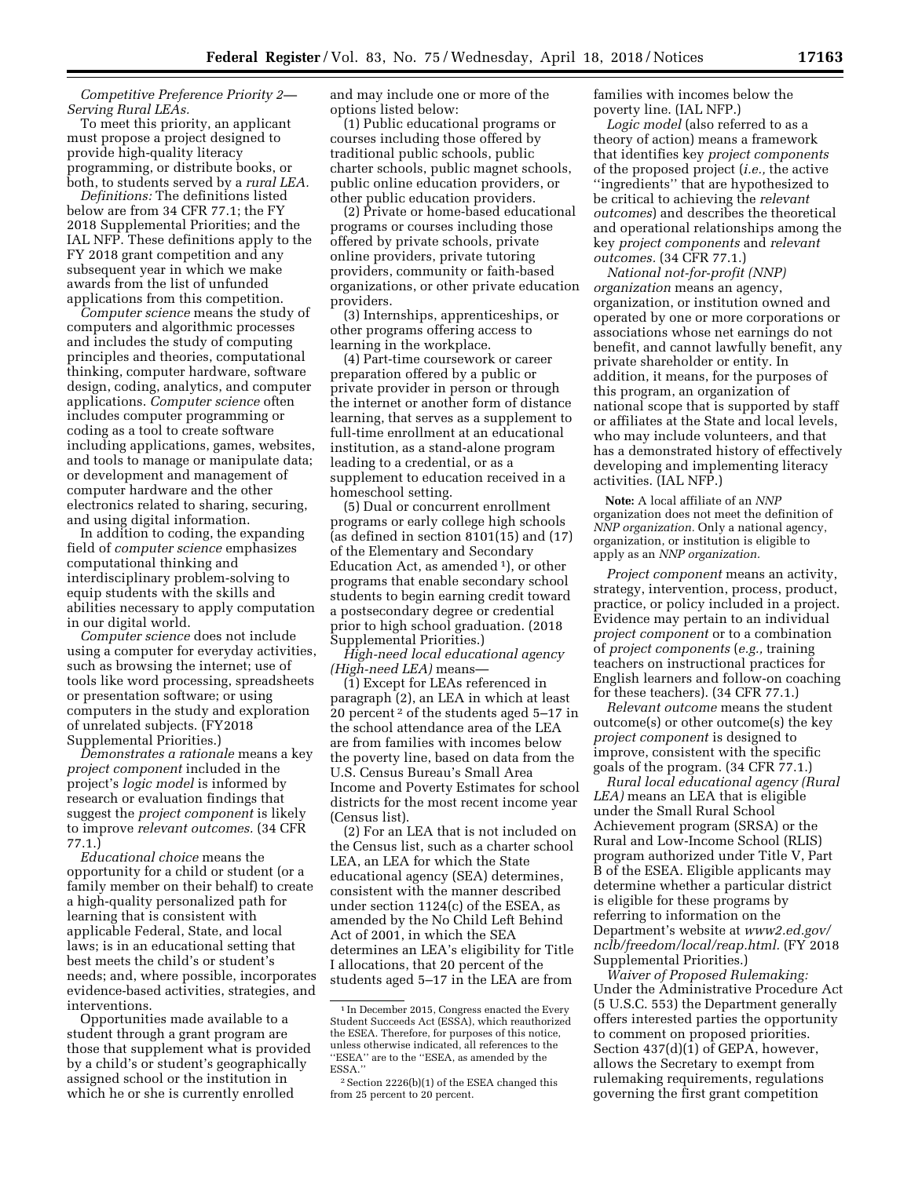*Competitive Preference Priority 2— Serving Rural LEAs.* 

To meet this priority, an applicant must propose a project designed to provide high-quality literacy programming, or distribute books, or both, to students served by a *rural LEA.* 

*Definitions:* The definitions listed below are from 34 CFR 77.1; the FY 2018 Supplemental Priorities; and the IAL NFP. These definitions apply to the FY 2018 grant competition and any subsequent year in which we make awards from the list of unfunded applications from this competition.

*Computer science* means the study of computers and algorithmic processes and includes the study of computing principles and theories, computational thinking, computer hardware, software design, coding, analytics, and computer applications. *Computer science* often includes computer programming or coding as a tool to create software including applications, games, websites, and tools to manage or manipulate data; or development and management of computer hardware and the other electronics related to sharing, securing, and using digital information.

In addition to coding, the expanding field of *computer science* emphasizes computational thinking and interdisciplinary problem-solving to equip students with the skills and abilities necessary to apply computation in our digital world.

*Computer science* does not include using a computer for everyday activities, such as browsing the internet; use of tools like word processing, spreadsheets or presentation software; or using computers in the study and exploration of unrelated subjects. (FY2018 Supplemental Priorities.)

*Demonstrates a rationale* means a key *project component* included in the project's *logic model* is informed by research or evaluation findings that suggest the *project component* is likely to improve *relevant outcomes.* (34 CFR 77.1.)

*Educational choice* means the opportunity for a child or student (or a family member on their behalf) to create a high-quality personalized path for learning that is consistent with applicable Federal, State, and local laws; is in an educational setting that best meets the child's or student's needs; and, where possible, incorporates evidence-based activities, strategies, and interventions.

Opportunities made available to a student through a grant program are those that supplement what is provided by a child's or student's geographically assigned school or the institution in which he or she is currently enrolled

and may include one or more of the options listed below:

(1) Public educational programs or courses including those offered by traditional public schools, public charter schools, public magnet schools, public online education providers, or other public education providers.

(2) Private or home-based educational programs or courses including those offered by private schools, private online providers, private tutoring providers, community or faith-based organizations, or other private education providers.

(3) Internships, apprenticeships, or other programs offering access to learning in the workplace.

(4) Part-time coursework or career preparation offered by a public or private provider in person or through the internet or another form of distance learning, that serves as a supplement to full-time enrollment at an educational institution, as a stand-alone program leading to a credential, or as a supplement to education received in a homeschool setting.

(5) Dual or concurrent enrollment programs or early college high schools (as defined in section 8101(15) and (17) of the Elementary and Secondary Education Act, as amended 1), or other programs that enable secondary school students to begin earning credit toward a postsecondary degree or credential prior to high school graduation. (2018 Supplemental Priorities.)

*High-need local educational agency (High-need LEA)* means—

(1) Except for LEAs referenced in paragraph (2), an LEA in which at least 20 percent 2 of the students aged 5–17 in the school attendance area of the LEA are from families with incomes below the poverty line, based on data from the U.S. Census Bureau's Small Area Income and Poverty Estimates for school districts for the most recent income year (Census list).

(2) For an LEA that is not included on the Census list, such as a charter school LEA, an LEA for which the State educational agency (SEA) determines, consistent with the manner described under section 1124(c) of the ESEA, as amended by the No Child Left Behind Act of 2001, in which the SEA determines an LEA's eligibility for Title I allocations, that 20 percent of the students aged 5–17 in the LEA are from

families with incomes below the poverty line. (IAL NFP.)

*Logic model* (also referred to as a theory of action) means a framework that identifies key *project components*  of the proposed project (*i.e.,* the active ''ingredients'' that are hypothesized to be critical to achieving the *relevant outcomes*) and describes the theoretical and operational relationships among the key *project components* and *relevant outcomes.* (34 CFR 77.1.)

*National not-for-profit (NNP) organization* means an agency, organization, or institution owned and operated by one or more corporations or associations whose net earnings do not benefit, and cannot lawfully benefit, any private shareholder or entity. In addition, it means, for the purposes of this program, an organization of national scope that is supported by staff or affiliates at the State and local levels, who may include volunteers, and that has a demonstrated history of effectively developing and implementing literacy activities. (IAL NFP.)

**Note:** A local affiliate of an *NNP*  organization does not meet the definition of *NNP organization.* Only a national agency, organization, or institution is eligible to apply as an *NNP organization.* 

*Project component* means an activity, strategy, intervention, process, product, practice, or policy included in a project. Evidence may pertain to an individual *project component* or to a combination of *project components* (*e.g.,* training teachers on instructional practices for English learners and follow-on coaching for these teachers). (34 CFR 77.1.)

*Relevant outcome* means the student outcome(s) or other outcome(s) the key *project component* is designed to improve, consistent with the specific goals of the program. (34 CFR 77.1.)

*Rural local educational agency (Rural LEA)* means an LEA that is eligible under the Small Rural School Achievement program (SRSA) or the Rural and Low-Income School (RLIS) program authorized under Title V, Part B of the ESEA. Eligible applicants may determine whether a particular district is eligible for these programs by referring to information on the Department's website at *[www2.ed.gov/](http://www2.ed.gov/nclb/freedom/local/reap.html)  [nclb/freedom/local/reap.html.](http://www2.ed.gov/nclb/freedom/local/reap.html)* (FY 2018 Supplemental Priorities.)

*Waiver of Proposed Rulemaking:*  Under the Administrative Procedure Act (5 U.S.C. 553) the Department generally offers interested parties the opportunity to comment on proposed priorities. Section 437(d)(1) of GEPA, however, allows the Secretary to exempt from rulemaking requirements, regulations governing the first grant competition

<sup>1</sup> In December 2015, Congress enacted the Every Student Succeeds Act (ESSA), which reauthorized the ESEA. Therefore, for purposes of this notice, unless otherwise indicated, all references to the ''ESEA'' are to the ''ESEA, as amended by the ESSA.''

<sup>2</sup>Section 2226(b)(1) of the ESEA changed this from 25 percent to 20 percent.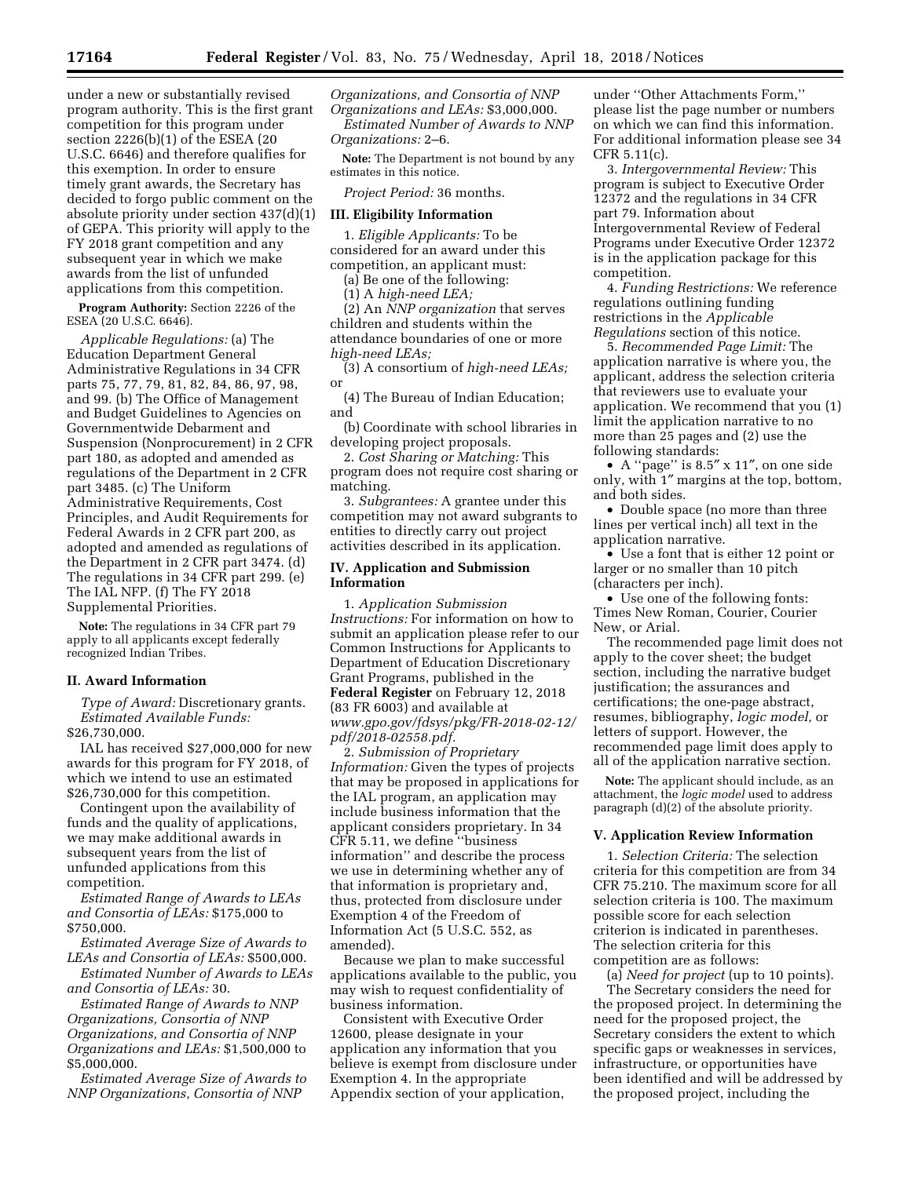under a new or substantially revised program authority. This is the first grant competition for this program under section 2226(b)(1) of the ESEA (20 U.S.C. 6646) and therefore qualifies for this exemption. In order to ensure timely grant awards, the Secretary has decided to forgo public comment on the absolute priority under section 437(d)(1) of GEPA. This priority will apply to the FY 2018 grant competition and any subsequent year in which we make awards from the list of unfunded applications from this competition.

**Program Authority:** Section 2226 of the ESEA (20 U.S.C. 6646).

*Applicable Regulations:* (a) The Education Department General Administrative Regulations in 34 CFR parts 75, 77, 79, 81, 82, 84, 86, 97, 98, and 99. (b) The Office of Management and Budget Guidelines to Agencies on Governmentwide Debarment and Suspension (Nonprocurement) in 2 CFR part 180, as adopted and amended as regulations of the Department in 2 CFR part 3485. (c) The Uniform Administrative Requirements, Cost Principles, and Audit Requirements for Federal Awards in 2 CFR part 200, as adopted and amended as regulations of the Department in 2 CFR part 3474. (d) The regulations in 34 CFR part 299. (e) The IAL NFP. (f) The FY 2018 Supplemental Priorities.

**Note:** The regulations in 34 CFR part 79 apply to all applicants except federally recognized Indian Tribes.

#### **II. Award Information**

*Type of Award:* Discretionary grants. *Estimated Available Funds:*  \$26,730,000.

IAL has received \$27,000,000 for new awards for this program for FY 2018, of which we intend to use an estimated \$26,730,000 for this competition.

Contingent upon the availability of funds and the quality of applications, we may make additional awards in subsequent years from the list of unfunded applications from this competition.

*Estimated Range of Awards to LEAs and Consortia of LEAs:* \$175,000 to \$750,000.

*Estimated Average Size of Awards to LEAs and Consortia of LEAs:* \$500,000.

*Estimated Number of Awards to LEAs and Consortia of LEAs:* 30.

*Estimated Range of Awards to NNP Organizations, Consortia of NNP Organizations, and Consortia of NNP Organizations and LEAs:* \$1,500,000 to \$5,000,000.

*Estimated Average Size of Awards to NNP Organizations, Consortia of NNP* 

*Organizations, and Consortia of NNP Organizations and LEAs:* \$3,000,000. *Estimated Number of Awards to NNP Organizations:* 2–6.

**Note:** The Department is not bound by any estimates in this notice.

*Project Period:* 36 months.

### **III. Eligibility Information**

1. *Eligible Applicants:* To be considered for an award under this competition, an applicant must:

(a) Be one of the following:

(1) A *high-need LEA;* 

(2) An *NNP organization* that serves children and students within the attendance boundaries of one or more *high-need LEAs;* 

(3) A consortium of *high-need LEAs;*  or

(4) The Bureau of Indian Education; and

(b) Coordinate with school libraries in developing project proposals.

2. *Cost Sharing or Matching:* This program does not require cost sharing or matching.

3. *Subgrantees:* A grantee under this competition may not award subgrants to entities to directly carry out project activities described in its application.

## **IV. Application and Submission Information**

1. *Application Submission Instructions:* For information on how to submit an application please refer to our Common Instructions for Applicants to Department of Education Discretionary Grant Programs, published in the **Federal Register** on February 12, 2018 (83 FR 6003) and available at *[www.gpo.gov/fdsys/pkg/FR-2018-02-12/](http://www.gpo.gov/fdsys/pkg/FR-2018-02-12/pdf/2018-02558.pdf) [pdf/2018-02558.pdf.](http://www.gpo.gov/fdsys/pkg/FR-2018-02-12/pdf/2018-02558.pdf)* 

2. *Submission of Proprietary Information:* Given the types of projects that may be proposed in applications for the IAL program, an application may include business information that the applicant considers proprietary. In 34 CFR 5.11, we define ''business information'' and describe the process we use in determining whether any of that information is proprietary and, thus, protected from disclosure under Exemption 4 of the Freedom of Information Act (5 U.S.C. 552, as amended).

Because we plan to make successful applications available to the public, you may wish to request confidentiality of business information.

Consistent with Executive Order 12600, please designate in your application any information that you believe is exempt from disclosure under Exemption 4. In the appropriate Appendix section of your application,

under ''Other Attachments Form,'' please list the page number or numbers on which we can find this information. For additional information please see 34 CFR 5.11(c).

3. *Intergovernmental Review:* This program is subject to Executive Order 12372 and the regulations in 34 CFR part 79. Information about Intergovernmental Review of Federal Programs under Executive Order 12372 is in the application package for this competition.

4. *Funding Restrictions:* We reference regulations outlining funding restrictions in the *Applicable Regulations* section of this notice.

5. *Recommended Page Limit:* The application narrative is where you, the applicant, address the selection criteria that reviewers use to evaluate your application. We recommend that you (1) limit the application narrative to no more than 25 pages and (2) use the following standards:

• A ''page'' is 8.5″ x 11″, on one side only, with 1″ margins at the top, bottom, and both sides.

• Double space (no more than three lines per vertical inch) all text in the application narrative.

• Use a font that is either 12 point or larger or no smaller than 10 pitch (characters per inch).

• Use one of the following fonts: Times New Roman, Courier, Courier New, or Arial.

The recommended page limit does not apply to the cover sheet; the budget section, including the narrative budget justification; the assurances and certifications; the one-page abstract, resumes, bibliography, *logic model,* or letters of support. However, the recommended page limit does apply to all of the application narrative section.

**Note:** The applicant should include, as an attachment, the *logic model* used to address paragraph (d)(2) of the absolute priority.

## **V. Application Review Information**

1. *Selection Criteria:* The selection criteria for this competition are from 34 CFR 75.210. The maximum score for all selection criteria is 100. The maximum possible score for each selection criterion is indicated in parentheses. The selection criteria for this competition are as follows:

(a) *Need for project* (up to 10 points). The Secretary considers the need for the proposed project. In determining the need for the proposed project, the Secretary considers the extent to which specific gaps or weaknesses in services, infrastructure, or opportunities have been identified and will be addressed by the proposed project, including the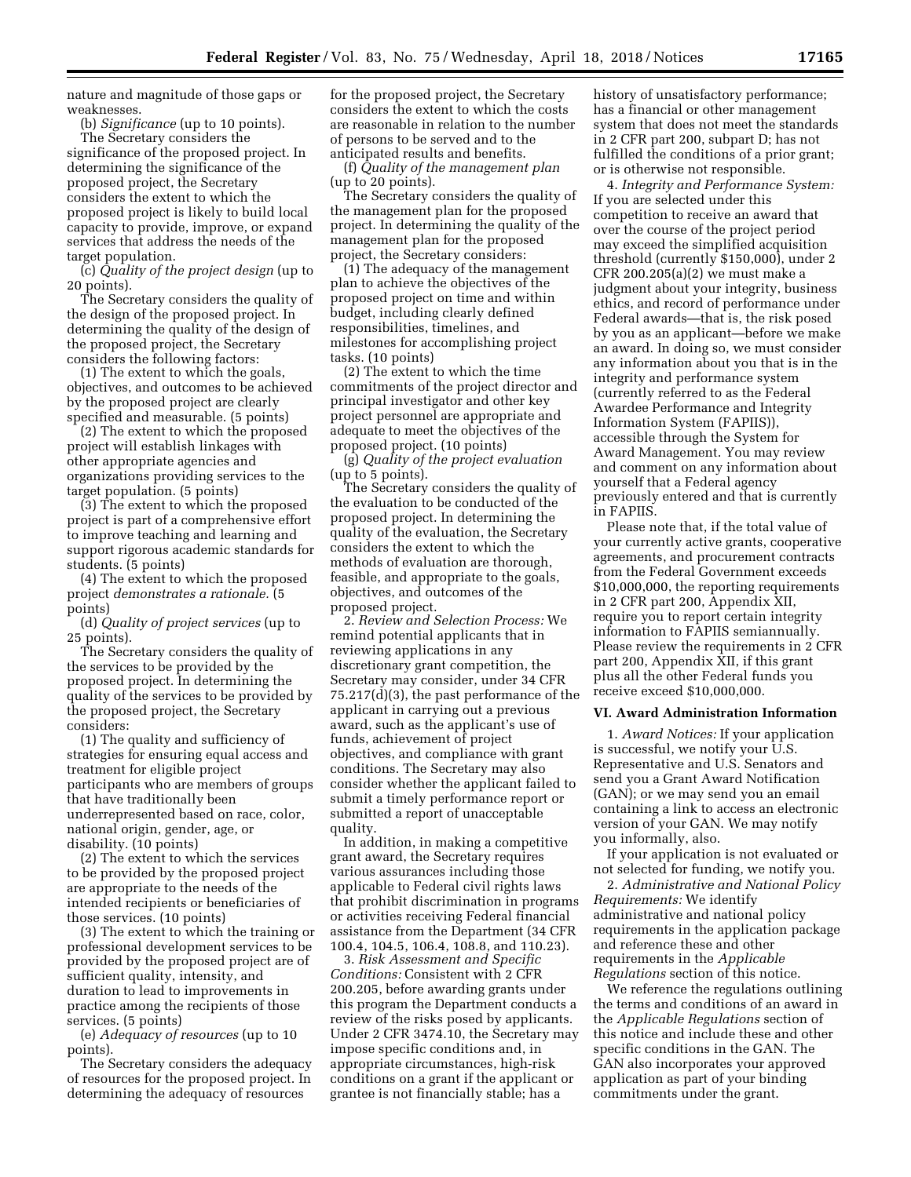nature and magnitude of those gaps or weaknesses.

(b) *Significance* (up to 10 points). The Secretary considers the significance of the proposed project. In determining the significance of the

proposed project, the Secretary considers the extent to which the proposed project is likely to build local capacity to provide, improve, or expand services that address the needs of the target population.

(c) *Quality of the project design* (up to 20 points).

The Secretary considers the quality of the design of the proposed project. In determining the quality of the design of the proposed project, the Secretary considers the following factors:

(1) The extent to which the goals, objectives, and outcomes to be achieved by the proposed project are clearly specified and measurable. (5 points)

(2) The extent to which the proposed project will establish linkages with other appropriate agencies and organizations providing services to the target population. (5 points)

(3) The extent to which the proposed project is part of a comprehensive effort to improve teaching and learning and support rigorous academic standards for students. (5 points)

(4) The extent to which the proposed project *demonstrates a rationale.* (5 points)

(d) *Quality of project services* (up to 25 points).

The Secretary considers the quality of the services to be provided by the proposed project. In determining the quality of the services to be provided by the proposed project, the Secretary considers:

(1) The quality and sufficiency of strategies for ensuring equal access and treatment for eligible project participants who are members of groups that have traditionally been underrepresented based on race, color, national origin, gender, age, or disability. (10 points)

(2) The extent to which the services to be provided by the proposed project are appropriate to the needs of the intended recipients or beneficiaries of those services. (10 points)

(3) The extent to which the training or professional development services to be provided by the proposed project are of sufficient quality, intensity, and duration to lead to improvements in practice among the recipients of those services. (5 points)

(e) *Adequacy of resources* (up to 10 points).

The Secretary considers the adequacy of resources for the proposed project. In determining the adequacy of resources

for the proposed project, the Secretary considers the extent to which the costs are reasonable in relation to the number of persons to be served and to the anticipated results and benefits.

(f) *Quality of the management plan*  (up to 20 points).

The Secretary considers the quality of the management plan for the proposed project. In determining the quality of the management plan for the proposed project, the Secretary considers:

(1) The adequacy of the management plan to achieve the objectives of the proposed project on time and within budget, including clearly defined responsibilities, timelines, and milestones for accomplishing project tasks. (10 points)

(2) The extent to which the time commitments of the project director and principal investigator and other key project personnel are appropriate and adequate to meet the objectives of the proposed project. (10 points)

(g) *Quality of the project evaluation*  (up to 5 points).

The Secretary considers the quality of the evaluation to be conducted of the proposed project. In determining the quality of the evaluation, the Secretary considers the extent to which the methods of evaluation are thorough, feasible, and appropriate to the goals, objectives, and outcomes of the proposed project.

2. *Review and Selection Process:* We remind potential applicants that in reviewing applications in any discretionary grant competition, the Secretary may consider, under 34 CFR 75.217(d)(3), the past performance of the applicant in carrying out a previous award, such as the applicant's use of funds, achievement of project objectives, and compliance with grant conditions. The Secretary may also consider whether the applicant failed to submit a timely performance report or submitted a report of unacceptable quality.

In addition, in making a competitive grant award, the Secretary requires various assurances including those applicable to Federal civil rights laws that prohibit discrimination in programs or activities receiving Federal financial assistance from the Department (34 CFR 100.4, 104.5, 106.4, 108.8, and 110.23).

3. *Risk Assessment and Specific Conditions:* Consistent with 2 CFR 200.205, before awarding grants under this program the Department conducts a review of the risks posed by applicants. Under 2 CFR 3474.10, the Secretary may impose specific conditions and, in appropriate circumstances, high-risk conditions on a grant if the applicant or grantee is not financially stable; has a

history of unsatisfactory performance; has a financial or other management system that does not meet the standards in 2 CFR part 200, subpart D; has not fulfilled the conditions of a prior grant; or is otherwise not responsible.

4. *Integrity and Performance System:*  If you are selected under this competition to receive an award that over the course of the project period may exceed the simplified acquisition threshold (currently \$150,000), under 2 CFR 200.205(a)(2) we must make a judgment about your integrity, business ethics, and record of performance under Federal awards—that is, the risk posed by you as an applicant—before we make an award. In doing so, we must consider any information about you that is in the integrity and performance system (currently referred to as the Federal Awardee Performance and Integrity Information System (FAPIIS)), accessible through the System for Award Management. You may review and comment on any information about yourself that a Federal agency previously entered and that is currently in FAPIIS.

Please note that, if the total value of your currently active grants, cooperative agreements, and procurement contracts from the Federal Government exceeds \$10,000,000, the reporting requirements in 2 CFR part 200, Appendix XII, require you to report certain integrity information to FAPIIS semiannually. Please review the requirements in 2 CFR part 200, Appendix XII, if this grant plus all the other Federal funds you receive exceed \$10,000,000.

### **VI. Award Administration Information**

1. *Award Notices:* If your application is successful, we notify your U.S. Representative and U.S. Senators and send you a Grant Award Notification (GAN); or we may send you an email containing a link to access an electronic version of your GAN. We may notify you informally, also.

If your application is not evaluated or not selected for funding, we notify you.

2. *Administrative and National Policy Requirements:* We identify administrative and national policy requirements in the application package and reference these and other requirements in the *Applicable Regulations* section of this notice.

We reference the regulations outlining the terms and conditions of an award in the *Applicable Regulations* section of this notice and include these and other specific conditions in the GAN. The GAN also incorporates your approved application as part of your binding commitments under the grant.